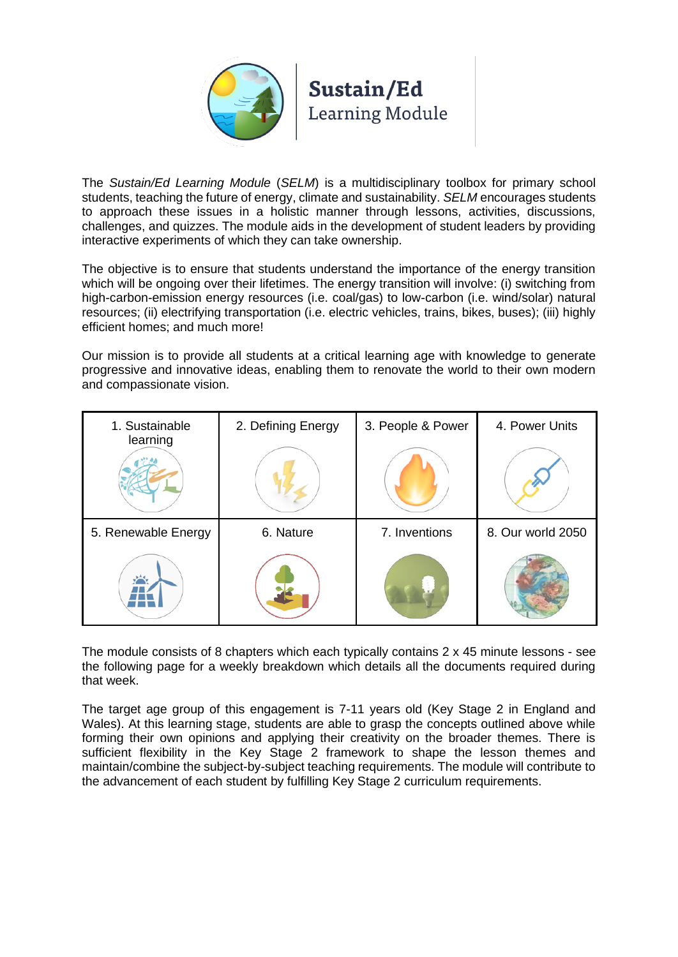

The *Sustain/Ed Learning Module* (*SELM*) is a multidisciplinary toolbox for primary school students, teaching the future of energy, climate and sustainability. *SELM* encourages students to approach these issues in a holistic manner through lessons, activities, discussions, challenges, and quizzes. The module aids in the development of student leaders by providing interactive experiments of which they can take ownership.

The objective is to ensure that students understand the importance of the energy transition which will be ongoing over their lifetimes. The energy transition will involve: (i) switching from high-carbon-emission energy resources (i.e. coal/gas) to low-carbon (i.e. wind/solar) natural resources; (ii) electrifying transportation (i.e. electric vehicles, trains, bikes, buses); (iii) highly efficient homes; and much more!

Our mission is to provide all students at a critical learning age with knowledge to generate progressive and innovative ideas, enabling them to renovate the world to their own modern and compassionate vision.

| 1. Sustainable<br>learning | 2. Defining Energy | 3. People & Power | 4. Power Units    |
|----------------------------|--------------------|-------------------|-------------------|
|                            |                    |                   |                   |
| 5. Renewable Energy        | 6. Nature          | 7. Inventions     | 8. Our world 2050 |
|                            |                    |                   |                   |

The module consists of 8 chapters which each typically contains 2 x 45 minute lessons - see the following page for a weekly breakdown which details all the documents required during that week.

The target age group of this engagement is 7-11 years old (Key Stage 2 in England and Wales). At this learning stage, students are able to grasp the concepts outlined above while forming their own opinions and applying their creativity on the broader themes. There is sufficient flexibility in the Key Stage 2 framework to shape the lesson themes and maintain/combine the subject-by-subject teaching requirements. The module will contribute to the advancement of each student by fulfilling Key Stage 2 curriculum requirements.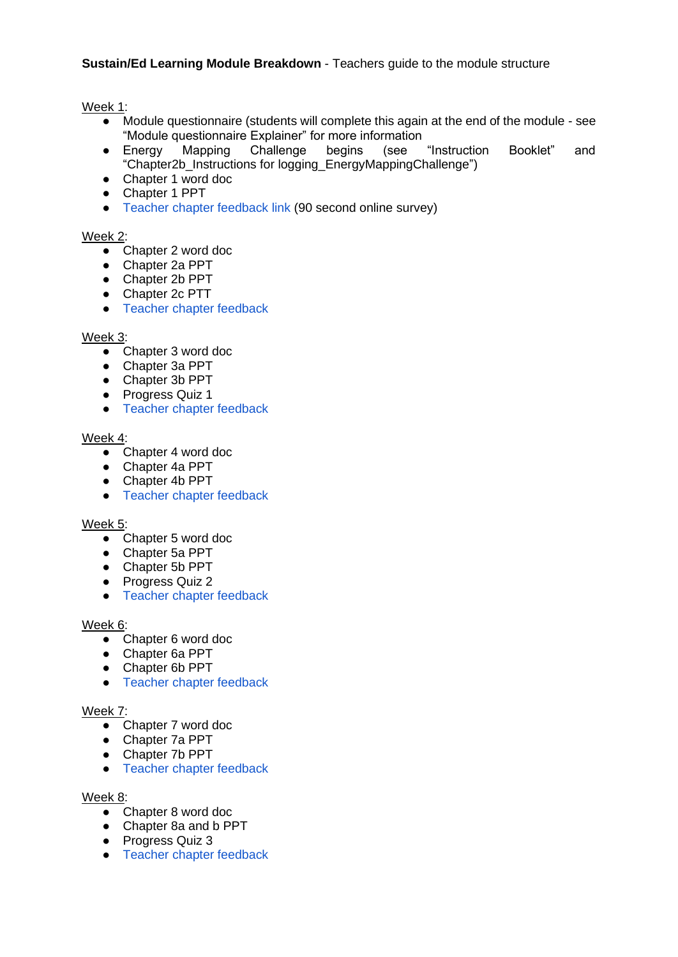# **Sustain/Ed Learning Module Breakdown** - Teachers guide to the module structure

Week 1:

- Module questionnaire (students will complete this again at the end of the module see "Module questionnaire Explainer" for more information
- Energy Mapping Challenge begins (see "Instruction Booklet" and "Chapter2b\_Instructions for logging\_EnergyMappingChallenge")
- Chapter 1 word doc
- Chapter 1 PPT
- Teacher chapter feedback link (90 second online survey)

### Week 2:

- Chapter 2 word doc
- Chapter 2a PPT
- Chapter 2b PPT
- Chapter 2c PTT
- Teacher chapter feedback

#### Week 3:

- Chapter 3 word doc
- Chapter 3a PPT
- Chapter 3b PPT
- Progress Quiz 1
- Teacher chapter feedback

#### Week 4:

- Chapter 4 word doc
- Chapter 4a PPT
- Chapter 4b PPT
- Teacher chapter feedback

# Week 5:

- Chapter 5 word doc
- Chapter 5a PPT
- Chapter 5b PPT
- Progress Quiz 2
- Teacher chapter feedback

### Week 6:

- Chapter 6 word doc
- Chapter 6a PPT
- Chapter 6b PPT
- Teacher chapter feedback

### Week 7:

- Chapter 7 word doc
- Chapter 7a PPT
- Chapter 7b PPT
- Teacher chapter feedback

#### Week 8:

- Chapter 8 word doc
- Chapter 8a and b PPT
- Progress Quiz 3
- Teacher chapter feedback